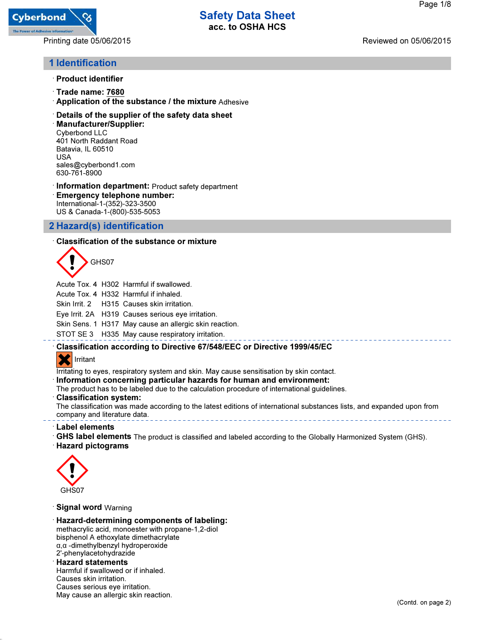

Printing date 05/06/2015 Reviewed on 05/06/2015

# 1 Identification

- · Product identifier
- · Trade name: 7680
- · Application of the substance / the mixture Adhesive
- · Details of the supplier of the safety data sheet
- · Manufacturer/Supplier: Cyberbond LLC 401 North Raddant Road Batavia, IL 60510 USA sales@cyberbond1.com 630-761-8900
- · Information department: Product safety department · Emergency telephone number: International-1-(352)-323-3500 US & Canada-1-(800)-535-5053

## 2 Hazard(s) identification

### · Classification of the substance or mixture



Acute Tox. 4 H302 Harmful if swallowed.

Acute Tox. 4 H332 Harmful if inhaled.

Skin Irrit. 2 H315 Causes skin irritation.

Eye Irrit. 2A H319 Causes serious eye irritation.

Skin Sens. 1 H317 May cause an allergic skin reaction.

STOT SE 3 H335 May cause respiratory irritation.

## · Classification according to Directive 67/548/EEC or Directive 1999/45/EC

## **Irritant**

Irritating to eyes, respiratory system and skin. May cause sensitisation by skin contact.

· Information concerning particular hazards for human and environment:

The product has to be labeled due to the calculation procedure of international guidelines.

· Classification system:

The classification was made according to the latest editions of international substances lists, and expanded upon from company and literature data.

- · Label elements
- · GHS label elements The product is classified and labeled according to the Globally Harmonized System (GHS).
- · Hazard pictograms



· Signal word Warning

· Hazard-determining components of labeling: methacrylic acid, monoester with propane-1,2-diol bisphenol A ethoxylate dimethacrylate α,α -dimethylbenzyl hydroperoxide 2'-phenylacetohydrazide · Hazard statements

Harmful if swallowed or if inhaled. Causes skin irritation. Causes serious eye irritation. May cause an allergic skin reaction.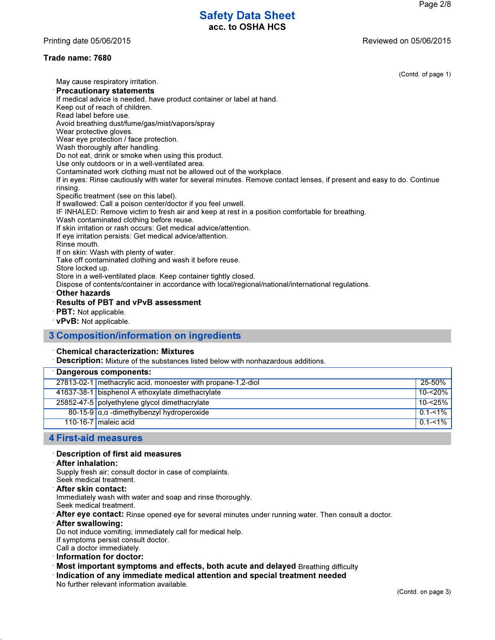Printing date 05/06/2015 Reviewed on 05/06/2015

## Trade name: 7680

 $(e 1)$ 

| (Contd. of pag                                                                                                          |  |
|-------------------------------------------------------------------------------------------------------------------------|--|
| May cause respiratory irritation.                                                                                       |  |
| <b>Precautionary statements</b>                                                                                         |  |
| If medical advice is needed, have product container or label at hand.                                                   |  |
| Keep out of reach of children.                                                                                          |  |
| Read label before use.                                                                                                  |  |
| Avoid breathing dust/fume/gas/mist/vapors/spray                                                                         |  |
| Wear protective gloves.                                                                                                 |  |
| Wear eye protection / face protection.                                                                                  |  |
| Wash thoroughly after handling.                                                                                         |  |
| Do not eat, drink or smoke when using this product.                                                                     |  |
| Use only outdoors or in a well-ventilated area.                                                                         |  |
| Contaminated work clothing must not be allowed out of the workplace.                                                    |  |
| If in eyes: Rinse cautiously with water for several minutes. Remove contact lenses, if present and easy to do. Continue |  |
| rinsing.                                                                                                                |  |
| Specific treatment (see on this label).                                                                                 |  |
| If swallowed: Call a poison center/doctor if you feel unwell.                                                           |  |
| IF INHALED: Remove victim to fresh air and keep at rest in a position comfortable for breathing.                        |  |
| Wash contaminated clothing before reuse.                                                                                |  |
| If skin irritation or rash occurs: Get medical advice/attention.                                                        |  |
| If eye irritation persists: Get medical advice/attention.                                                               |  |
| Rinse mouth.                                                                                                            |  |
| If on skin: Wash with plenty of water.                                                                                  |  |
| Take off contaminated clothing and wash it before reuse.                                                                |  |
| Store locked up.                                                                                                        |  |
| Store in a well-ventilated place. Keep container tightly closed.                                                        |  |
| Dispose of contents/container in accordance with local/regional/national/international regulations.                     |  |
| <b>Other hazards</b>                                                                                                    |  |

- · Results of PBT and vPvB assessment
- · PBT: Not applicable.
- · vPvB: Not applicable.

## 3 Composition/information on ingredients

#### · Chemical characterization: Mixtures

· Description: Mixture of the substances listed below with nonhazardous additions.

| <b>Dangerous components:</b>                                 |             |
|--------------------------------------------------------------|-------------|
| 27813-02-1 methacrylic acid, monoester with propane-1,2-diol | 25-50%      |
| 41637-38-1 bisphenol A ethoxylate dimethacrylate             | $10 - 20%$  |
| 25852-47-5 polyethylene glycol dimethacrylate                | $10 - 25%$  |
| $80-15-9$ $\alpha$ , $\alpha$ -dimethylbenzyl hydroperoxide  | $0.1 - 1\%$ |
| 110-16-7 maleic acid                                         | $0.1 - 1\%$ |
|                                                              |             |

### 4 First-aid measures

#### · Description of first aid measures

#### · After inhalation:

Supply fresh air; consult doctor in case of complaints.

- Seek medical treatment.
- · After skin contact:

Immediately wash with water and soap and rinse thoroughly.

Seek medical treatment.

 $\cdot$  After eye contact: Rinse opened eye for several minutes under running water. Then consult a doctor.

· After swallowing:

Do not induce vomiting; immediately call for medical help.

If symptoms persist consult doctor.

- Call a doctor immediately.
- · Information for doctor:
- · Most important symptoms and effects, both acute and delayed Breathing difficulty
- · Indication of any immediate medical attention and special treatment needed

No further relevant information available.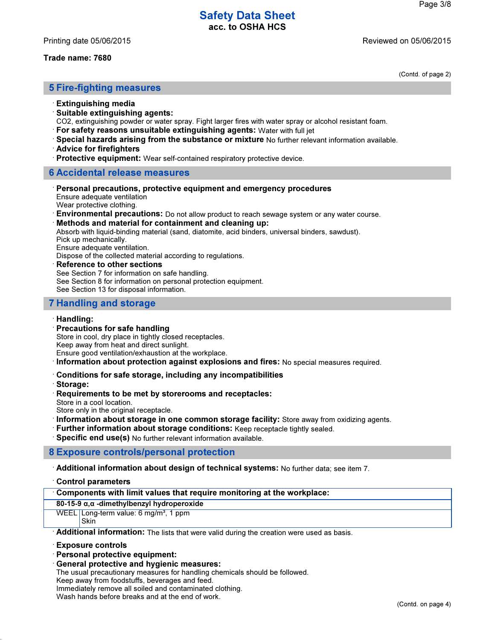#### Trade name: 7680

(Contd. of page 2)

### 5 Fire-fighting measures

- · Extinguishing media
- $\cdot$  Suitable extinguishing agents:

CO2, extinguishing powder or water spray. Fight larger fires with water spray or alcohol resistant foam.

- · For safety reasons unsuitable extinguishing agents: Water with full jet
- · Special hazards arising from the substance or mixture No further relevant information available.
- · Advice for firefighters
- · Protective equipment: Wear self-contained respiratory protective device.

### 6 Accidental release measures

· Personal precautions, protective equipment and emergency procedures Ensure adequate ventilation

Wear protective clothing.

· Environmental precautions: Do not allow product to reach sewage system or any water course.

· Methods and material for containment and cleaning up:

Absorb with liquid-binding material (sand, diatomite, acid binders, universal binders, sawdust).

Pick up mechanically.

Ensure adequate ventilation.

Dispose of the collected material according to regulations.

#### **Reference to other sections**

See Section 7 for information on safe handling.

See Section 8 for information on personal protection equipment.

See Section 13 for disposal information.

## 7 Handling and storage

#### · Handling:

#### · Precautions for safe handling

Store in cool, dry place in tightly closed receptacles.

Keep away from heat and direct sunlight.

Ensure good ventilation/exhaustion at the workplace.

· Information about protection against explosions and fires: No special measures required.

#### · Conditions for safe storage, including any incompatibilities

- · Storage:
- · Requirements to be met by storerooms and receptacles:

Store in a cool location.

Store only in the original receptacle.

- · Information about storage in one common storage facility: Store away from oxidizing agents.
- · Further information about storage conditions: Keep receptacle tightly sealed.

· Specific end use(s) No further relevant information available.

### 8 Exposure controls/personal protection

· Additional information about design of technical systems: No further data; see item 7.

· Control parameters

#### · Components with limit values that require monitoring at the workplace:

80-15-9 α,α -dimethylbenzyl hydroperoxide

WEEL Long-term value: 6 mg/m<sup>3</sup>, 1 ppm **Skin** 

**Additional information:** The lists that were valid during the creation were used as basis.

#### · Exposure controls

- · Personal protective equipment:
- · General protective and hygienic measures:

The usual precautionary measures for handling chemicals should be followed.

Keep away from foodstuffs, beverages and feed.

Immediately remove all soiled and contaminated clothing.

Wash hands before breaks and at the end of work.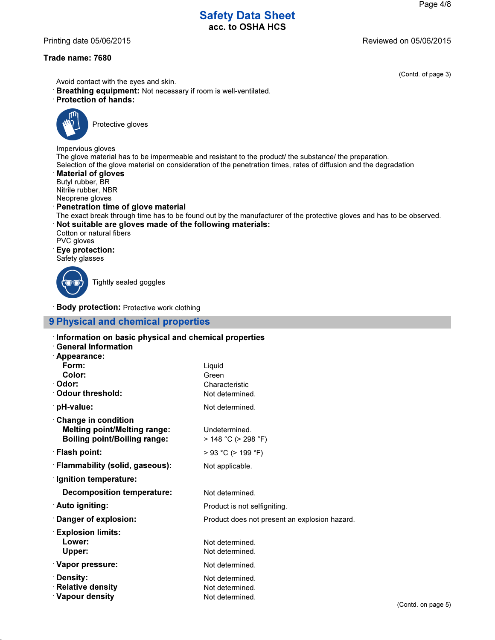### Printing date 05/06/2015 Reviewed on 05/06/2015

### Trade name: 7680

(Contd. of page 3)

- Avoid contact with the eyes and skin.
- · Breathing equipment: Not necessary if room is well-ventilated.
- · Protection of hands:



Protective gloves

Impervious gloves The glove material has to be impermeable and resistant to the product/ the substance/ the preparation. Selection of the glove material on consideration of the penetration times, rates of diffusion and the degradation

**Material of gloves** Butyl rubber, BR

Nitrile rubber, NBR

Neoprene gloves

· Penetration time of glove material

The exact break through time has to be found out by the manufacturer of the protective gloves and has to be observed. · Not suitable are gloves made of the following materials:

Cotton or natural fibers PVC gloves

· Eye protection:

Safety glasses

Tightly sealed goggles

· Body protection: Protective work clothing

## 9 Physical and chemical properties

| Information on basic physical and chemical properties<br><b>General Information</b><br><sup>-</sup> Appearance: |                                                       |
|-----------------------------------------------------------------------------------------------------------------|-------------------------------------------------------|
| Form:                                                                                                           | Liquid                                                |
| Color:                                                                                                          | Green                                                 |
| · Odor:                                                                                                         | Characteristic                                        |
| ∴Odour threshold:                                                                                               | Not determined.                                       |
| · pH-value:                                                                                                     | Not determined.                                       |
| <b>Change in condition</b><br><b>Melting point/Melting range:</b><br><b>Boiling point/Boiling range:</b>        | Undetermined.<br>$>$ 148 °C ( $>$ 298 °F)             |
| · Flash point:                                                                                                  | $> 93$ °C ( $> 199$ °F)                               |
| <b>Flammability (solid, gaseous):</b>                                                                           | Not applicable.                                       |
| $\cdot$ Ignition temperature:                                                                                   |                                                       |
| <b>Decomposition temperature:</b>                                                                               | Not determined.                                       |
| ∴Auto igniting:                                                                                                 | Product is not selfigniting.                          |
| Danger of explosion:                                                                                            | Product does not present an explosion hazard.         |
| <b>Explosion limits:</b><br>Lower:<br>Upper:                                                                    | Not determined.<br>Not determined.                    |
| · Vapor pressure:                                                                                               | Not determined.                                       |
| ∴Density:<br><b>Relative density</b><br><b>Vapour density</b>                                                   | Not determined.<br>Not determined.<br>Not determined. |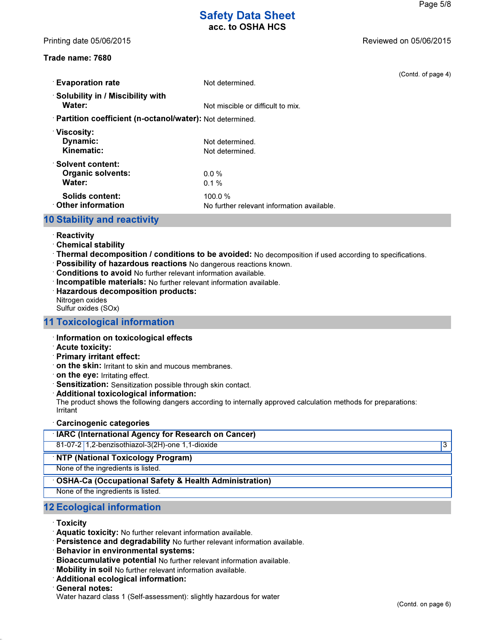### Trade name: 7680

(Contd. of page 4)

| <b>Evaporation rate</b>                                    | Not determined.                                      |
|------------------------------------------------------------|------------------------------------------------------|
| Solubility in / Miscibility with<br>Water:                 | Not miscible or difficult to mix.                    |
| · Partition coefficient (n-octanol/water): Not determined. |                                                      |
| $\cdot$ Viscosity:<br><b>Dynamic:</b><br>Kinematic:        | Not determined.<br>Not determined.                   |
| ∴Solvent content:<br><b>Organic solvents:</b><br>Water:    | $0.0\%$<br>$0.1 \%$                                  |
| Solids content:<br>$\cdot$ Other information               | 100.0%<br>No further relevant information available. |

## 10 Stability and reactivity

- · Reactivity
- · Chemical stability
- · Thermal decomposition / conditions to be avoided: No decomposition if used according to specifications.
- · Possibility of hazardous reactions No dangerous reactions known.
- · Conditions to avoid No further relevant information available.
- · Incompatible materials: No further relevant information available.
- · Hazardous decomposition products:
- Nitrogen oxides
- Sulfur oxides (SOx)

## 11 Toxicological information

- · Information on toxicological effects
- · Acute toxicity:
- · Primary irritant effect:
- · on the skin: Irritant to skin and mucous membranes.
- · on the eye: Irritating effect.
- · Sensitization: Sensitization possible through skin contact.
- · Additional toxicological information:

The product shows the following dangers according to internally approved calculation methods for preparations: Irritant

· Carcinogenic categories

| <b>IARC (International Agency for Research on Cancer)</b> |   |
|-----------------------------------------------------------|---|
| 81-07-2 1,2-benzisothiazol-3(2H)-one 1,1-dioxide          | 3 |
| <b>NTP (National Toxicology Program)</b>                  |   |
| None of the ingredients is listed.                        |   |
| • OSHA-Ca (Occupational Safety & Health Administration)   |   |
| None of the ingredients is listed.                        |   |
|                                                           |   |

## 12 Ecological information

- · Toxicity
- · Aquatic toxicity: No further relevant information available.
- · Persistence and degradability No further relevant information available.
- · Behavior in environmental systems:
- · Bioaccumulative potential No further relevant information available.
- · Mobility in soil No further relevant information available.
- · Additional ecological information:
- General notes:
- Water hazard class 1 (Self-assessment): slightly hazardous for water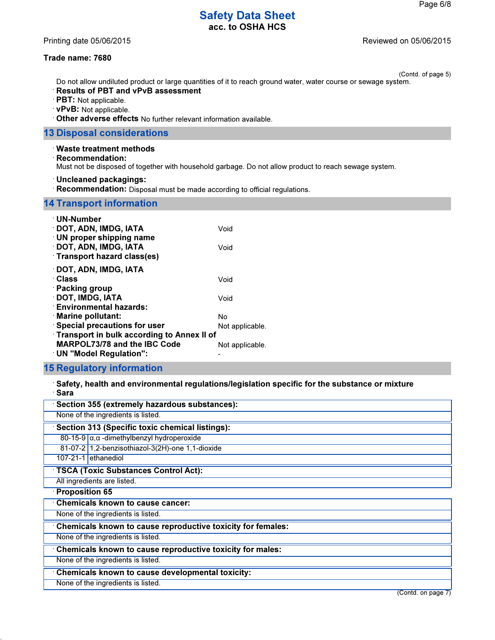### Printing date 05/06/2015 **Printing date 05/06/2015**

## Trade name: 7680

(Contd. of page 5) Do not allow undiluted product or large quantities of it to reach ground water, water course or sewage system.

- · Results of PBT and vPvB assessment
- · PBT: Not applicable.
- · vPvB: Not applicable.
- · Other adverse effects No further relevant information available.

## 13 Disposal considerations

#### · Waste treatment methods

· Recommendation:

Must not be disposed of together with household garbage. Do not allow product to reach sewage system.

· Uncleaned packagings:

· Recommendation: Disposal must be made according to official regulations.

## 14 Transport information

| $\cdot$ UN-Number<br><b>DOT, ADN, IMDG, IATA</b><br>$\cdot$ UN proper shipping name                                        | Void            |
|----------------------------------------------------------------------------------------------------------------------------|-----------------|
| DOT, ADN, IMDG, IATA<br><b>Transport hazard class(es)</b>                                                                  | Void            |
| <b>DOT, ADN, IMDG, IATA</b><br>∴Class<br>· Packing group                                                                   | Void            |
| <b>DOT, IMDG, IATA</b><br><b>Environmental hazards:</b>                                                                    | Void            |
| $\cdot$ Marine pollutant:                                                                                                  | No              |
| <b>Special precautions for user</b>                                                                                        | Not applicable. |
| <b>Transport in bulk according to Annex II of</b><br><b>MARPOL73/78 and the IBC Code</b><br>$\cdot$ UN "Model Regulation": | Not applicable. |

## 15 Regulatory information

· Safety, health and environmental regulations/legislation specific for the substance or mixture · Sara

| Section 355 (extremely hazardous substances):               |
|-------------------------------------------------------------|
| None of the ingredients is listed.                          |
| Section 313 (Specific toxic chemical listings):             |
| 80-15-9 $\alpha$ , α -dimethylbenzyl hydroperoxide          |
| 81-07-2 1,2-benzisothiazol-3(2H)-one 1,1-dioxide            |
| 107-21-1 ethanediol                                         |
| <b>TSCA (Toxic Substances Control Act):</b>                 |
| All ingredients are listed.                                 |
| $\cdot$ Proposition 65                                      |
| <b>Chemicals known to cause cancer:</b>                     |
| None of the ingredients is listed.                          |
| Chemicals known to cause reproductive toxicity for females: |
| None of the ingredients is listed.                          |
| Chemicals known to cause reproductive toxicity for males:   |
| None of the ingredients is listed.                          |
| Chemicals known to cause developmental toxicity:            |
| None of the ingredients is listed.                          |
| (Contd. on page 7)                                          |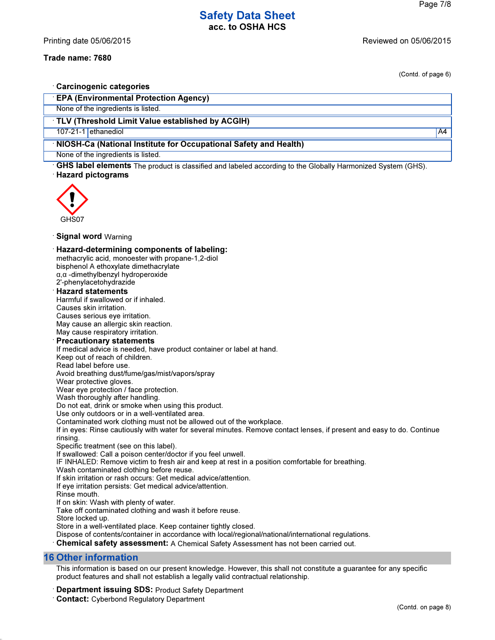## Trade name: 7680

(Contd. of page 6)

| <b>Carcinogenic categories</b>                                                                                                                                                            |    |
|-------------------------------------------------------------------------------------------------------------------------------------------------------------------------------------------|----|
| <b>EPA (Environmental Protection Agency)</b>                                                                                                                                              |    |
| None of the ingredients is listed.                                                                                                                                                        |    |
| TLV (Threshold Limit Value established by ACGIH)                                                                                                                                          |    |
| 107-21-1 ethanediol                                                                                                                                                                       | A4 |
| NIOSH-Ca (National Institute for Occupational Safety and Health)                                                                                                                          |    |
| None of the ingredients is listed.                                                                                                                                                        |    |
| GHS label elements The product is classified and labeled according to the Globally Harmonized System (GHS).                                                                               |    |
| <b>Hazard pictograms</b>                                                                                                                                                                  |    |
|                                                                                                                                                                                           |    |
|                                                                                                                                                                                           |    |
|                                                                                                                                                                                           |    |
|                                                                                                                                                                                           |    |
| GHS07                                                                                                                                                                                     |    |
| <b>Signal word</b> Warning                                                                                                                                                                |    |
|                                                                                                                                                                                           |    |
| <b>Hazard-determining components of labeling:</b><br>methacrylic acid, monoester with propane-1,2-diol                                                                                    |    |
| bisphenol A ethoxylate dimethacrylate                                                                                                                                                     |    |
| $\alpha$ , $\alpha$ -dimethylbenzyl hydroperoxide                                                                                                                                         |    |
| 2'-phenylacetohydrazide                                                                                                                                                                   |    |
| <b>Hazard statements</b>                                                                                                                                                                  |    |
| Harmful if swallowed or if inhaled.<br>Causes skin irritation.                                                                                                                            |    |
| Causes serious eye irritation.                                                                                                                                                            |    |
| May cause an allergic skin reaction.                                                                                                                                                      |    |
| May cause respiratory irritation.                                                                                                                                                         |    |
| <b>Precautionary statements</b>                                                                                                                                                           |    |
| If medical advice is needed, have product container or label at hand.                                                                                                                     |    |
| Keep out of reach of children.<br>Read label before use.                                                                                                                                  |    |
| Avoid breathing dust/fume/gas/mist/vapors/spray                                                                                                                                           |    |
| Wear protective gloves.                                                                                                                                                                   |    |
| Wear eye protection / face protection.                                                                                                                                                    |    |
| Wash thoroughly after handling.                                                                                                                                                           |    |
| Do not eat, drink or smoke when using this product.<br>Use only outdoors or in a well-ventilated area.                                                                                    |    |
| Contaminated work clothing must not be allowed out of the workplace.                                                                                                                      |    |
| If in eyes: Rinse cautiously with water for several minutes. Remove contact lenses, if present and easy to do. Continue                                                                   |    |
| rinsing.                                                                                                                                                                                  |    |
| Specific treatment (see on this label).<br>If swallowed: Call a poison center/doctor if you feel unwell.                                                                                  |    |
| IF INHALED: Remove victim to fresh air and keep at rest in a position comfortable for breathing.                                                                                          |    |
| Wash contaminated clothing before reuse.                                                                                                                                                  |    |
| If skin irritation or rash occurs: Get medical advice/attention.                                                                                                                          |    |
| If eye irritation persists: Get medical advice/attention.<br>Rinse mouth.                                                                                                                 |    |
| If on skin: Wash with plenty of water.                                                                                                                                                    |    |
| Take off contaminated clothing and wash it before reuse.                                                                                                                                  |    |
| Store locked up.                                                                                                                                                                          |    |
| Store in a well-ventilated place. Keep container tightly closed.                                                                                                                          |    |
| Dispose of contents/container in accordance with local/regional/national/international regulations.<br>Chemical safety assessment: A Chemical Safety Assessment has not been carried out. |    |
|                                                                                                                                                                                           |    |
| <b>16 Other information</b>                                                                                                                                                               |    |
| This information is hased on our present knowledge. However, this shall not constitute a quarantee for any specific                                                                       |    |

This information is based on our present knowledge. However, this shall not constitute a guarantee for any specific product features and shall not establish a legally valid contractual relationship.

· Department issuing SDS: Product Safety Department

· Contact: Cyberbond Regulatory Department